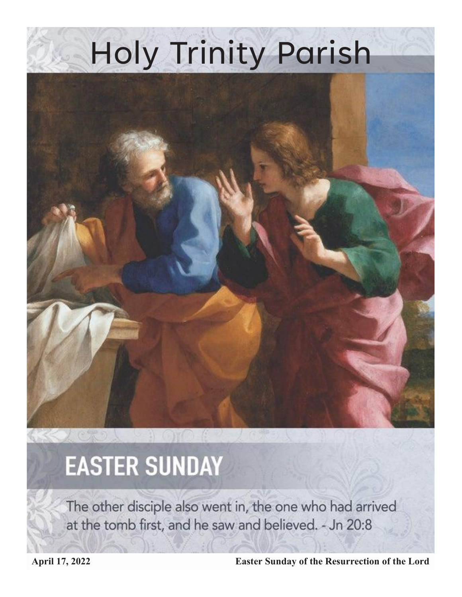# Holy Trinity Parish



## **EASTER SUNDAY**

The other disciple also went in, the one who had arrived at the tomb first, and he saw and believed. - Jn 20:8

**April 17, 2022 Easter Sunday of the Resurrection of the Lord**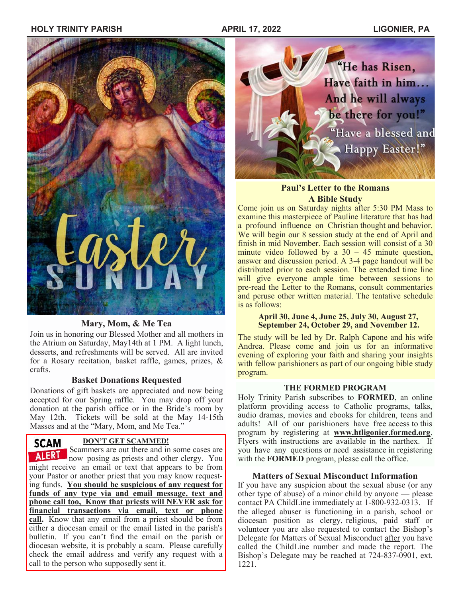## **HOLY TRINITY PARISH APRIL 17, 2022 LIGONIER, PA**



### **Mary, Mom, & Me Tea**

Join us in honoring our Blessed Mother and all mothers in the Atrium on Saturday, May14th at 1 PM. A light lunch, desserts, and refreshments will be served. All are invited for a Rosary recitation, basket raffle, games, prizes, & crafts.

### **Basket Donations Requested**

Donations of gift baskets are appreciated and now being accepted for our Spring raffle. You may drop off your donation at the parish office or in the Bride's room by May 12th. Tickets will be sold at the May 14-15th Masses and at the "Mary, Mom, and Me Tea."

### **DON'T GET SCAMMED!**

**SCAM** DON'T GET SCAMMED!<br>Scammers are out there and in some cases are **ALERT** now posing as priests and other clergy. You might receive an email or text that appears to be from your Pastor or another priest that you may know requesting funds. **You should be suspicious of any request for funds of any type via and email message, text and phone call too, Know that priests will NEVER ask for financial transactions via email, text or phone call.** Know that any email from a priest should be from either a diocesan email or the email listed in the parish's bulletin. If you can't find the email on the parish or diocesan website, it is probably a scam. Please carefully check the email address and verify any request with a call to the person who supposedly sent it.



## **Paul's Letter to the Romans A Bible Study**

Come join us on Saturday nights after 5:30 PM Mass to examine this masterpiece of Pauline literature that has had a profound influence on Christian thought and behavior. We will begin our 8 session study at the end of April and finish in mid November. Each session will consist of a 30 minute video followed by a  $30 - 45$  minute question, answer and discussion period. A 3-4 page handout will be distributed prior to each session. The extended time line will give everyone ample time between sessions to pre-read the Letter to the Romans, consult commentaries and peruse other written material. The tentative schedule is as follows:

#### **April 30, June 4, June 25, July 30, August 27, September 24, October 29, and November 12.**

The study will be led by Dr. Ralph Capone and his wife Andrea. Please come and join us for an informative evening of exploring your faith and sharing your insights with fellow parishioners as part of our ongoing bible study program.

### **THE FORMED PROGRAM**

Holy Trinity Parish subscribes to **FORMED**, an online platform providing access to Catholic programs, talks, audio dramas, movies and ebooks for children, teens and adults! All of our parishioners have free access to this program by registering at **www.htligonier.formed.org**. Flyers with instructions are available in the narthex. If you have any questions or need assistance in registering with the **FORMED** program, please call the office.

#### **Matters of Sexual Misconduct Information**

If you have any suspicion about the sexual abuse (or any other type of abuse) of a minor child by anyone — please contact PA ChildLine immediately at 1-800-932-0313. If the alleged abuser is functioning in a parish, school or diocesan position as clergy, religious, paid staff or volunteer you are also requested to contact the Bishop's Delegate for Matters of Sexual Misconduct after you have called the ChildLine number and made the report. The Bishop's Delegate may be reached at 724-837-0901, ext. 1221.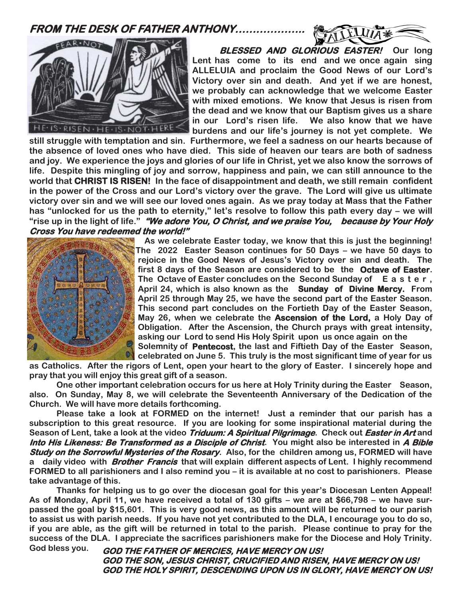**FROM THE DESK OF FATHER ANTHONY………………..** 





 **BLESSED AND GLORIOUS EASTER! Our long Lent has come to its end and we once again sing ALLELUIA and proclaim the Good News of our Lord's Victory over sin and death. And yet if we are honest, we probably can acknowledge that we welcome Easter with mixed emotions. We know that Jesus is risen from the dead and we know that our Baptism gives us a share in our Lord's risen life. We also know that we have burdens and our life's journey is not yet complete. We** 

**still struggle with temptation and sin. Furthermore, we feel a sadness on our hearts because of the absence of loved ones who have died. This side of heaven our tears are both of sadness and joy. We experience the joys and glories of our life in Christ, yet we also know the sorrows of life. Despite this mingling of joy and sorrow, happiness and pain, we can still announce to the world that CHRIST IS RISEN! In the face of disappointment and death, we still remain confident in the power of the Cross and our Lord's victory over the grave. The Lord will give us ultimate victory over sin and we will see our loved ones again. As we pray today at Mass that the Father has "unlocked for us the path to eternity," let's resolve to follow this path every day – we will "rise up in the light of life." "We adore You, O Christ, and we praise You, because by Your Holy Cross You have redeemed the world!"**



 **As we celebrate Easter today, we know that this is just the beginning! The 2022 Easter Season continues for 50 Days – we have 50 days to rejoice in the Good News of Jesus's Victory over sin and death. The first 8 days of the Season are considered to be the Octave of Easter. The Octave of Easter concludes on the Second Sunday of E a s t e r , April 24, which is also known as the Sunday of Divine Mercy. From April 25 through May 25, we have the second part of the Easter Season. This second part concludes on the Fortieth Day of the Easter Season, May 26, when we celebrate the Ascension of the Lord, a Holy Day of Obligation. After the Ascension, the Church prays with great intensity, asking our Lord to send His Holy Spirit upon us once again on the Solemnity of Pentecost, the last and Fiftieth Day of the Easter Season,** 

**celebrated on June 5. This truly is the most significant time of year for us as Catholics. After the rigors of Lent, open your heart to the glory of Easter. I sincerely hope and pray that you will enjoy this great gift of a season.**

**One other important celebration occurs for us here at Holy Trinity during the Easter Season, also. On Sunday, May 8, we will celebrate the Seventeenth Anniversary of the Dedication of the Church. We will have more details forthcoming.**

**Please take a look at FORMED on the internet! Just a reminder that our parish has a subscription to this great resource. If you are looking for some inspirational material during the Season of Lent, take a look at the video Triduum: A Spiritual Pilgrimage. Check out Easter in Art and Into His Likeness: Be Transformed as a Disciple of Christ. You might also be interested in A Bible Study on the Sorrowful Mysteries of the Rosary. Also, for the children among us, FORMED will have a daily video with Brother Francis that will explain different aspects of Lent. I highly recommend FORMED to all parishioners and I also remind you – it is available at no cost to parishioners. Please take advantage of this.**

**Thanks for helping us to go over the diocesan goal for this year's Diocesan Lenten Appeal! As of Monday, April 11, we have received a total of 130 gifts – we are at \$66,798 – we have surpassed the goal by \$15,601. This is very good news, as this amount will be returned to our parish to assist us with parish needs. If you have not yet contributed to the DLA, I encourage you to do so, if you are able, as the gift will be returned in total to the parish. Please continue to pray for the success of the DLA. I appreciate the sacrifices parishioners make for the Diocese and Holy Trinity.** 

**God bless you. GOD THE FATHER OF MERCIES, HAVE MERCY ON US! GOD THE SON, JESUS CHRIST, CRUCIFIED AND RISEN, HAVE MERCY ON US! GOD THE HOLY SPIRIT, DESCENDING UPON US IN GLORY, HAVE MERCY ON US!**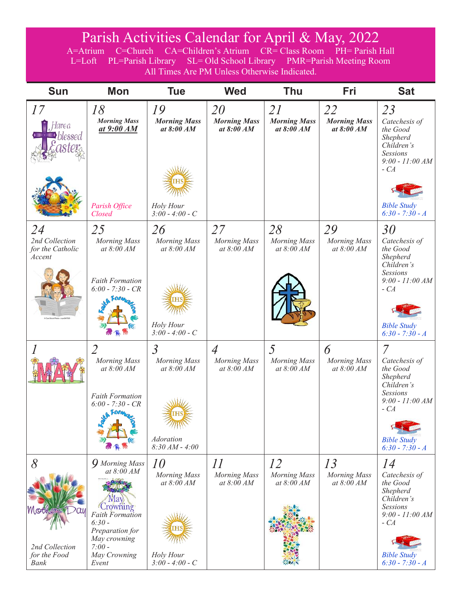## Parish Activities Calendar for April & May, 2022

A=Atrium C=Church CA=Children's Atrium CR= Class Room PH= Parish Hall L=Loft PL=Parish Library SL= Old School Library PMR=Parish Meeting Room All Times Are PM Unless Otherwise Indicated.

| <b>Sun</b>                                                | <b>Mon</b>                                                                                                                                                                 | <b>Tue</b>                                                                                                | <b>Wed</b>                                     | <b>Thu</b>                                | Fri                                       | <b>Sat</b>                                                                                                                                                                 |
|-----------------------------------------------------------|----------------------------------------------------------------------------------------------------------------------------------------------------------------------------|-----------------------------------------------------------------------------------------------------------|------------------------------------------------|-------------------------------------------|-------------------------------------------|----------------------------------------------------------------------------------------------------------------------------------------------------------------------------|
| 17<br>-Iave a<br><i>blessed</i>                           | 18<br><b>Morning Mass</b><br><u>at 9:00 AM</u><br>Parish Office<br>Closed                                                                                                  | 19<br><b>Morning Mass</b><br>at $8:00 AM$<br>Holy Hour<br>$3:00 - 4:00 - C$                               | 20<br><b>Morning Mass</b><br>at $8:00 AM$      | 21<br><b>Morning Mass</b><br>at $8:00 AM$ | 22<br><b>Morning Mass</b><br>at $8:00 AM$ | 23<br>Catechesis of<br>the Good<br>Shepherd<br>Children's<br><b>Sessions</b><br>$9:00 - 11:00 AM$<br>$-CA$<br><b>Bible Study</b><br>$6:30 - 7:30 - A$                      |
| 24<br>2nd Collection<br>for the Catholic<br>Accent        | 25<br><b>Morning Mass</b><br>at 8:00 AM<br><b>Faith Formation</b><br>$6:00 - 7:30 - CR$                                                                                    | 26<br><b>Morning Mass</b><br>at 8:00 AM                                                                   | 27<br><b>Morning Mass</b><br>at $8:00$ AM      | 28<br><b>Morning Mass</b><br>at 8:00 AM   | 29<br><b>Morning Mass</b><br>at 8:00 AM   | 30<br>Catechesis of<br>the Good<br>Shepherd<br>Children's<br><b>Sessions</b><br>$9:00 - 11:00 AM$<br>$-CA$                                                                 |
|                                                           | 2<br><b>Morning Mass</b><br>at 8:00 AM<br><b>Faith Formation</b><br>$6:00 - 7:30 - CR$<br><b>A</b> Form                                                                    | Holy Hour<br>$3:00 - 4:00 - C$<br>$\overline{3}$<br><b>Morning Mass</b><br>at 8:00 AM<br><b>Adoration</b> | $\overline{A}$<br>Morning Mass<br>at $8:00 AM$ | 5<br><b>Morning Mass</b><br>at $8:00 AM$  | 6<br><b>Morning Mass</b><br>at 8:00 AM    | <b>Bible Study</b><br>$6:30 - 7:30 - A$<br>7<br>Catechesis of<br>the Good<br>Shepherd<br>Children's<br><b>Sessions</b><br>$9:00 - 11:00 AM$<br>$-CA$<br><b>Bible Study</b> |
| $\delta$<br>2nd Collection<br>for the Food<br><b>Bank</b> | <b>9</b> Morning Mass<br>at 8:00 AM<br>Vlav<br><i>Crowning</i><br><b>Faith Formation</b><br>$6:30-$<br>Preparation for<br>May crowning<br>$7:00-$<br>May Crowning<br>Event | $8:30 AM - 4:00$<br>10<br><b>Morning Mass</b><br>at 8:00 AM<br>Holy Hour<br>$3:00 - 4:00 - C$             | II<br><b>Morning Mass</b><br>at 8:00 AM        | 12<br><b>Morning Mass</b><br>at 8:00 AM   | 13<br>Morning Mass<br>at 8:00 AM          | $6:30 - 7:30 - A$<br>14<br>Catechesis of<br>the Good<br>Shepherd<br>Children's<br><b>Sessions</b><br>$9:00 - 11:00 AM$<br>$-CA$<br><b>Bible Study</b><br>$6:30 - 7:30 - A$ |